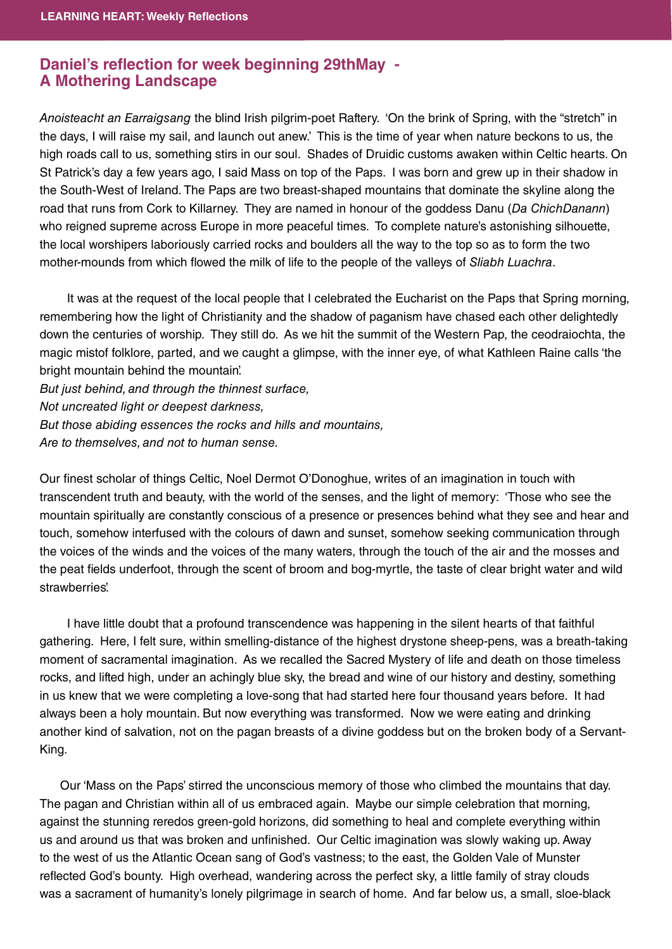## **Daniel's reflection for week beginning 29thMay -A Mothering Landscape**

Anoisteacht an Earraigsang the blind Irish pilgrim-poet Raftery. 'On the brink of Spring, with the "stretch" in the days, I will raise my sail, and launch out anew.' This is the time of year when nature beckons to us, the high roads call to us, something stirs in our soul. Shades of Druidic customs awaken within Celtic hearts. On St Patrick's day a few years ago, I said Mass on top of the Paps. I was born and grew up in their shadow in the South-West of Ireland. The Paps are two breast-shaped mountains that dominate the skyline along the road that runs from Cork to Killarney. They are named in honour of the goddess Danu (Da ChichDanann) who reigned supreme across Europe in more peaceful times. To complete nature's astonishing silhouette, the local worshipers laboriously carried rocks and boulders all the way to the top so as to form the two mother-mounds from which flowed the milk of life to the people of the valleys of Sliabh Luachra.

 It was at the request of the local people that I celebrated the Eucharist on the Paps that Spring morning, remembering how the light of Christianity and the shadow of paganism have chased each other delightedly down the centuries of worship. They still do. As we hit the summit of the Western Pap, the ceodraiochta, the magic mistof folklore, parted, and we caught a glimpse, with the inner eye, of what Kathleen Raine calls 'the bright mountain behind the mountain'.

But just behind, and through the thinnest surface, Not uncreated light or deepest darkness, But those abiding essences the rocks and hills and mountains, Are to themselves, and not to human sense.

Our finest scholar of things Celtic, Noel Dermot O'Donoghue, writes of an imagination in touch with transcendent truth and beauty, with the world of the senses, and the light of memory: 'Those who see the mountain spiritually are constantly conscious of a presence or presences behind what they see and hear and touch, somehow interfused with the colours of dawn and sunset, somehow seeking communication through the voices of the winds and the voices of the many waters, through the touch of the air and the mosses and the peat fields underfoot, through the scent of broom and bog-myrtle, the taste of clear bright water and wild strawberries'.

 I have little doubt that a profound transcendence was happening in the silent hearts of that faithful gathering. Here, I felt sure, within smelling-distance of the highest drystone sheep-pens, was a breath-taking moment of sacramental imagination. As we recalled the Sacred Mystery of life and death on those timeless rocks, and lifted high, under an achingly blue sky, the bread and wine of our history and destiny, something in us knew that we were completing a love-song that had started here four thousand years before. It had always been a holy mountain. But now everything was transformed. Now we were eating and drinking another kind of salvation, not on the pagan breasts of a divine goddess but on the broken body of a Servant-King.

 Our 'Mass on the Paps' stirred the unconscious memory of those who climbed the mountains that day. The pagan and Christian within all of us embraced again. Maybe our simple celebration that morning, against the stunning reredos green-gold horizons, did something to heal and complete everything within us and around us that was broken and unfinished. Our Celtic imagination was slowly waking up. Away to the west of us the Atlantic Ocean sang of God's vastness; to the east, the Golden Vale of Munster reflected God's bounty. High overhead, wandering across the perfect sky, a little family of stray clouds was a sacrament of humanity's lonely pilgrimage in search of home. And far below us, a small, sloe-black